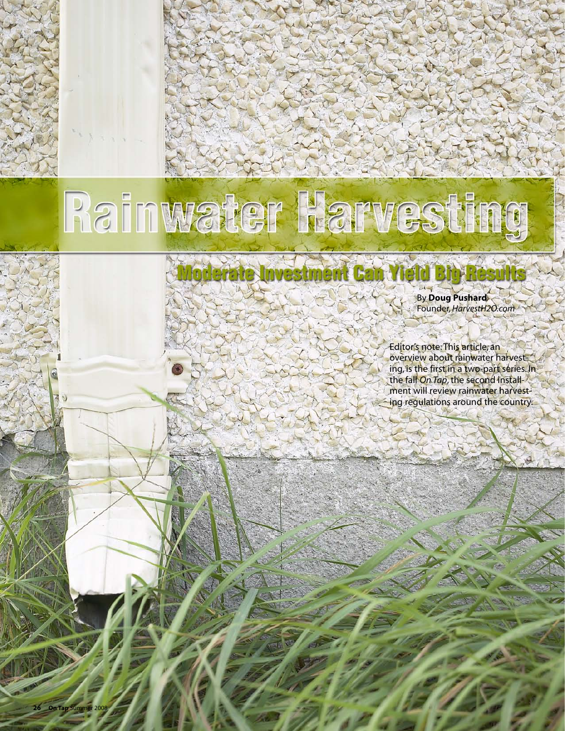# Rainwater Harvesting

By **Doug Pushard** Founder, *HarvestH2O.com*

Editor's note: This article, an overview about rainwater harvesting, is the first in a two-part series. In the fall *On Tap*, the second installment will review rainwater harvesting regulations around the country.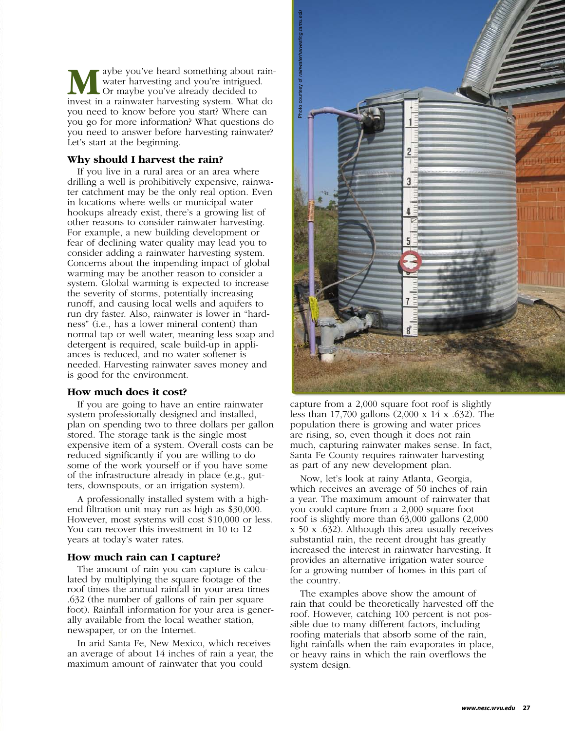aybe you've heard something about rainwater harvesting and you're intrigued. Or maybe you've already decided to invest in a rainwater harvesting system. What do you need to know before you start? Where can you go for more information? What questions do you need to answer before harvesting rainwater? Let's start at the beginning. **M**

#### **Why should I harvest the rain?**

If you live in a rural area or an area where drilling a well is prohibitively expensive, rainwater catchment may be the only real option. Even in locations where wells or municipal water hookups already exist, there's a growing list of other reasons to consider rainwater harvesting. For example, a new building development or fear of declining water quality may lead you to consider adding a rainwater harvesting system. Concerns about the impending impact of global warming may be another reason to consider a system. Global warming is expected to increase the severity of storms, potentially increasing runoff, and causing local wells and aquifers to run dry faster. Also, rainwater is lower in "hardness" (i.e., has a lower mineral content) than normal tap or well water, meaning less soap and detergent is required, scale build-up in appliances is reduced, and no water softener is needed. Harvesting rainwater saves money and is good for the environment.

#### **How much does it cost?**

If you are going to have an entire rainwater system professionally designed and installed, plan on spending two to three dollars per gallon stored. The storage tank is the single most expensive item of a system. Overall costs can be reduced significantly if you are willing to do some of the work yourself or if you have some of the infrastructure already in place (e.g., gutters, downspouts, or an irrigation system).

A professionally installed system with a highend filtration unit may run as high as \$30,000. However, most systems will cost \$10,000 or less. You can recover this investment in 10 to 12 years at today's water rates.

#### **How much rain can I capture?**

The amount of rain you can capture is calculated by multiplying the square footage of the roof times the annual rainfall in your area times .632 (the number of gallons of rain per square foot). Rainfall information for your area is generally available from the local weather station, newspaper, or on the Internet.

In arid Santa Fe, New Mexico, which receives an average of about 14 inches of rain a year, the maximum amount of rainwater that you could



capture from a 2,000 square foot roof is slightly less than 17,700 gallons (2,000 x 14 x .632). The population there is growing and water prices are rising, so, even though it does not rain much, capturing rainwater makes sense. In fact, Santa Fe County requires rainwater harvesting as part of any new development plan.

Now, let's look at rainy Atlanta, Georgia, which receives an average of 50 inches of rain a year. The maximum amount of rainwater that you could capture from a 2,000 square foot roof is slightly more than 63,000 gallons (2,000 x 50 x .632). Although this area usually receives substantial rain, the recent drought has greatly increased the interest in rainwater harvesting. It provides an alternative irrigation water source for a growing number of homes in this part of the country.

The examples above show the amount of rain that could be theoretically harvested off the roof. However, catching 100 percent is not possible due to many different factors, including roofing materials that absorb some of the rain, light rainfalls when the rain evaporates in place, or heavy rains in which the rain overflows the system design.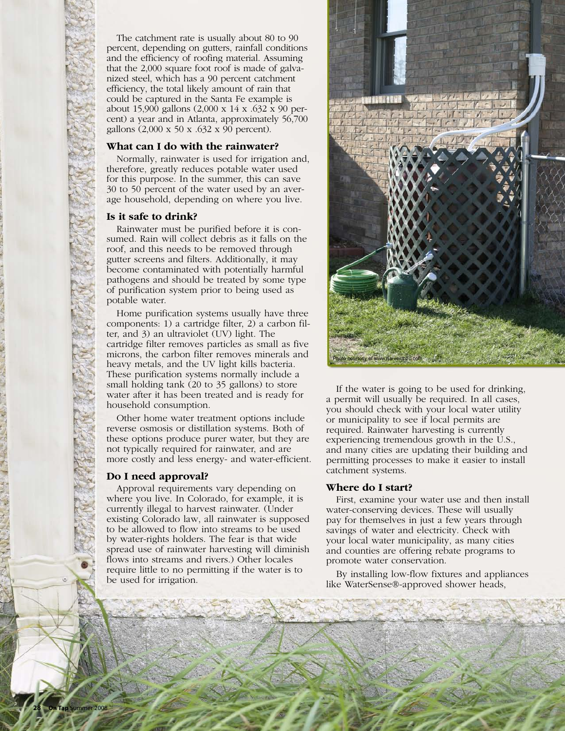The catchment rate is usually about 80 to 90 percent, depending on gutters, rainfall conditions and the efficiency of roofing material. Assuming that the 2,000 square foot roof is made of galvanized steel, which has a 90 percent catchment efficiency, the total likely amount of rain that could be captured in the Santa Fe example is about 15,900 gallons (2,000 x 14 x .632 x 90 percent) a year and in Atlanta, approximately 56,700 gallons (2,000 x 50 x .632 x 90 percent).

#### **What can I do with the rainwater?**

Normally, rainwater is used for irrigation and, therefore, greatly reduces potable water used for this purpose. In the summer, this can save 30 to 50 percent of the water used by an average household, depending on where you live.

### **Is it safe to drink?**

Rainwater must be purified before it is consumed. Rain will collect debris as it falls on the roof, and this needs to be removed through gutter screens and filters. Additionally, it may become contaminated with potentially harmful pathogens and should be treated by some type of purification system prior to being used as potable water.

Home purification systems usually have three components: 1) a cartridge filter, 2) a carbon filter, and 3) an ultraviolet (UV) light. The cartridge filter removes particles as small as five microns, the carbon filter removes minerals and heavy metals, and the UV light kills bacteria. These purification systems normally include a small holding tank (20 to 35 gallons) to store water after it has been treated and is ready for household consumption.

Other home water treatment options include reverse osmosis or distillation systems. Both of these options produce purer water, but they are not typically required for rainwater, and are more costly and less energy- and water-efficient.

# **Do I need approval?**

Approval requirements vary depending on where you live. In Colorado, for example, it is currently illegal to harvest rainwater. (Under existing Colorado law, all rainwater is supposed to be allowed to flow into streams to be used by water-rights holders. The fear is that wide spread use of rainwater harvesting will diminish flows into streams and rivers.) Other locales require little to no permitting if the water is to be used for irrigation.



If the water is going to be used for drinking, a permit will usually be required. In all cases, you should check with your local water utility or municipality to see if local permits are required. Rainwater harvesting is currently experiencing tremendous growth in the U.S., and many cities are updating their building and permitting processes to make it easier to install catchment systems.

# **Where do I start?**

First, examine your water use and then install water-conserving devices. These will usually pay for themselves in just a few years through savings of water and electricity. Check with your local water municipality, as many cities and counties are offering rebate programs to promote water conservation.

By installing low-flow fixtures and appliances like WaterSense®-approved shower heads,